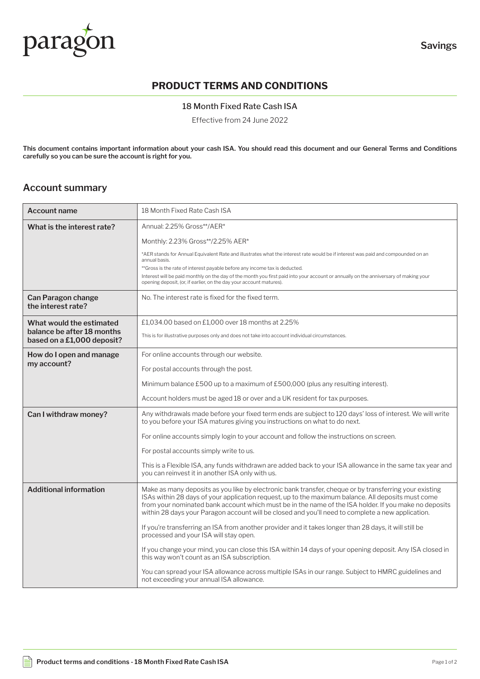

# **PRODUCT TERMS AND CONDITIONS**

### 18 Month Fixed Rate Cash ISA

Effective from 24 June 2022

**This document contains important information about your cash ISA. You should read this document and our General Terms and Conditions carefully so you can be sure the account is right for you.**

## **Account summary**

| <b>Account name</b>                                      | 18 Month Fixed Rate Cash ISA                                                                                                                                                                                                                                                                                                                                                                                               |
|----------------------------------------------------------|----------------------------------------------------------------------------------------------------------------------------------------------------------------------------------------------------------------------------------------------------------------------------------------------------------------------------------------------------------------------------------------------------------------------------|
| What is the interest rate?                               | Annual: 2.25% Gross**/AER*                                                                                                                                                                                                                                                                                                                                                                                                 |
|                                                          | Monthly: 2.23% Gross**/2.25% AER*                                                                                                                                                                                                                                                                                                                                                                                          |
|                                                          | *AER stands for Annual Equivalent Rate and illustrates what the interest rate would be if interest was paid and compounded on an<br>annual basis.                                                                                                                                                                                                                                                                          |
|                                                          | **Gross is the rate of interest payable before any income tax is deducted.                                                                                                                                                                                                                                                                                                                                                 |
|                                                          | Interest will be paid monthly on the day of the month you first paid into your account or annually on the anniversary of making your<br>opening deposit, (or, if earlier, on the day your account matures).                                                                                                                                                                                                                |
| Can Paragon change<br>the interest rate?                 | No. The interest rate is fixed for the fixed term.                                                                                                                                                                                                                                                                                                                                                                         |
| What would the estimated                                 | £1,034,00 based on £1,000 over 18 months at 2,25%                                                                                                                                                                                                                                                                                                                                                                          |
| balance be after 18 months<br>based on a £1,000 deposit? | This is for illustrative purposes only and does not take into account individual circumstances.                                                                                                                                                                                                                                                                                                                            |
| How do I open and manage                                 | For online accounts through our website.                                                                                                                                                                                                                                                                                                                                                                                   |
| my account?                                              | For postal accounts through the post.                                                                                                                                                                                                                                                                                                                                                                                      |
|                                                          | Minimum balance £500 up to a maximum of £500,000 (plus any resulting interest).                                                                                                                                                                                                                                                                                                                                            |
|                                                          | Account holders must be aged 18 or over and a UK resident for tax purposes.                                                                                                                                                                                                                                                                                                                                                |
| Can I withdraw money?                                    | Any withdrawals made before your fixed term ends are subject to 120 days' loss of interest. We will write<br>to you before your ISA matures giving you instructions on what to do next.                                                                                                                                                                                                                                    |
|                                                          | For online accounts simply login to your account and follow the instructions on screen.                                                                                                                                                                                                                                                                                                                                    |
|                                                          | For postal accounts simply write to us.                                                                                                                                                                                                                                                                                                                                                                                    |
|                                                          | This is a Flexible ISA, any funds withdrawn are added back to your ISA allowance in the same tax year and<br>you can reinvest it in another ISA only with us.                                                                                                                                                                                                                                                              |
| <b>Additional information</b>                            | Make as many deposits as you like by electronic bank transfer, cheque or by transferring your existing<br>ISAs within 28 days of your application request, up to the maximum balance. All deposits must come<br>from your nominated bank account which must be in the name of the ISA holder. If you make no deposits<br>within 28 days your Paragon account will be closed and you'll need to complete a new application. |
|                                                          | If you're transferring an ISA from another provider and it takes longer than 28 days, it will still be<br>processed and your ISA will stay open.                                                                                                                                                                                                                                                                           |
|                                                          | If you change your mind, you can close this ISA within 14 days of your opening deposit. Any ISA closed in<br>this way won't count as an ISA subscription.                                                                                                                                                                                                                                                                  |
|                                                          | You can spread your ISA allowance across multiple ISAs in our range. Subject to HMRC guidelines and<br>not exceeding your annual ISA allowance.                                                                                                                                                                                                                                                                            |